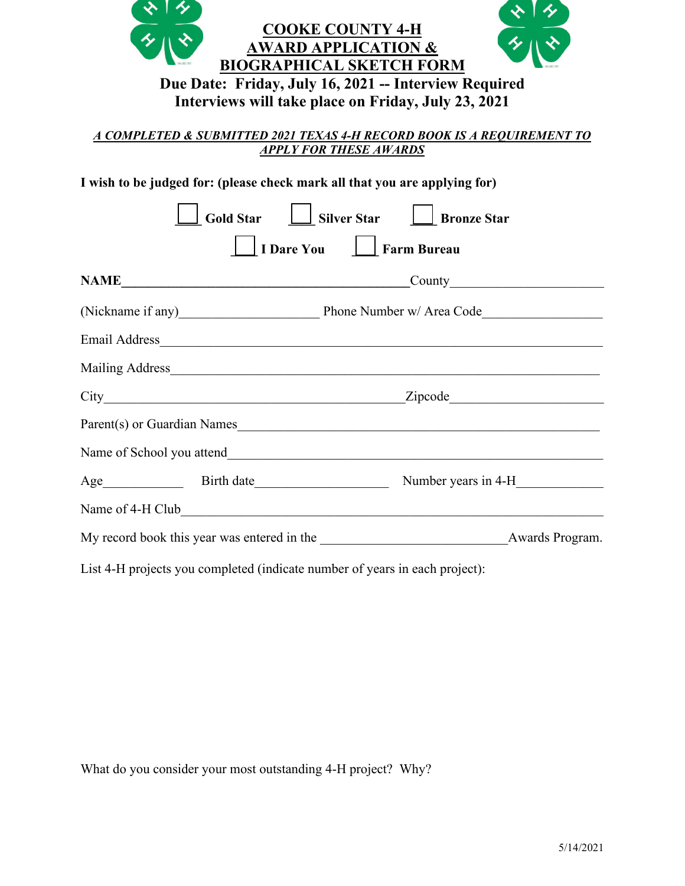| <b>COOKE COUNTY 4-H</b><br><b>AWARD APPLICATION &amp;</b><br><b>BIOGRAPHICAL SKETCH FORM</b><br>Due Date: Friday, July 16, 2021 -- Interview Required<br>Interviews will take place on Friday, July 23, 2021<br>A COMPLETED & SUBMITTED 2021 TEXAS 4-H RECORD BOOK IS A REQUIREMENT TO |  |                          |  |                                   |  |  |
|----------------------------------------------------------------------------------------------------------------------------------------------------------------------------------------------------------------------------------------------------------------------------------------|--|--------------------------|--|-----------------------------------|--|--|
| <b>APPLY FOR THESE AWARDS</b>                                                                                                                                                                                                                                                          |  |                          |  |                                   |  |  |
| I wish to be judged for: (please check mark all that you are applying for)                                                                                                                                                                                                             |  |                          |  |                                   |  |  |
|                                                                                                                                                                                                                                                                                        |  |                          |  | Gold Star Gilver Star Geonze Star |  |  |
|                                                                                                                                                                                                                                                                                        |  | I Dare You   Farm Bureau |  |                                   |  |  |
|                                                                                                                                                                                                                                                                                        |  |                          |  |                                   |  |  |
|                                                                                                                                                                                                                                                                                        |  |                          |  |                                   |  |  |
|                                                                                                                                                                                                                                                                                        |  |                          |  |                                   |  |  |
|                                                                                                                                                                                                                                                                                        |  |                          |  |                                   |  |  |
|                                                                                                                                                                                                                                                                                        |  |                          |  |                                   |  |  |
| Parent(s) or Guardian Names                                                                                                                                                                                                                                                            |  |                          |  |                                   |  |  |
|                                                                                                                                                                                                                                                                                        |  |                          |  |                                   |  |  |
|                                                                                                                                                                                                                                                                                        |  |                          |  |                                   |  |  |
| Name of 4-H Club and the contract of 4-H Club                                                                                                                                                                                                                                          |  |                          |  |                                   |  |  |
| My record book this year was entered in the Awards Program.                                                                                                                                                                                                                            |  |                          |  |                                   |  |  |
| List 4-H projects you completed (indicate number of years in each project):                                                                                                                                                                                                            |  |                          |  |                                   |  |  |

What do you consider your most outstanding 4-H project? Why?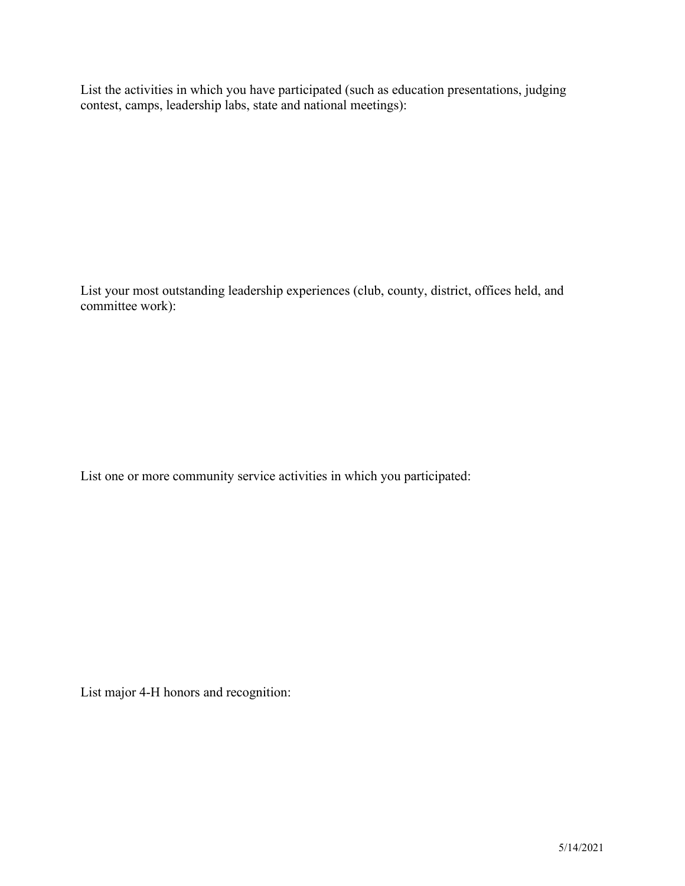List the activities in which you have participated (such as education presentations, judging contest, camps, leadership labs, state and national meetings):

List your most outstanding leadership experiences (club, county, district, offices held, and committee work):

List one or more community service activities in which you participated:

List major 4-H honors and recognition: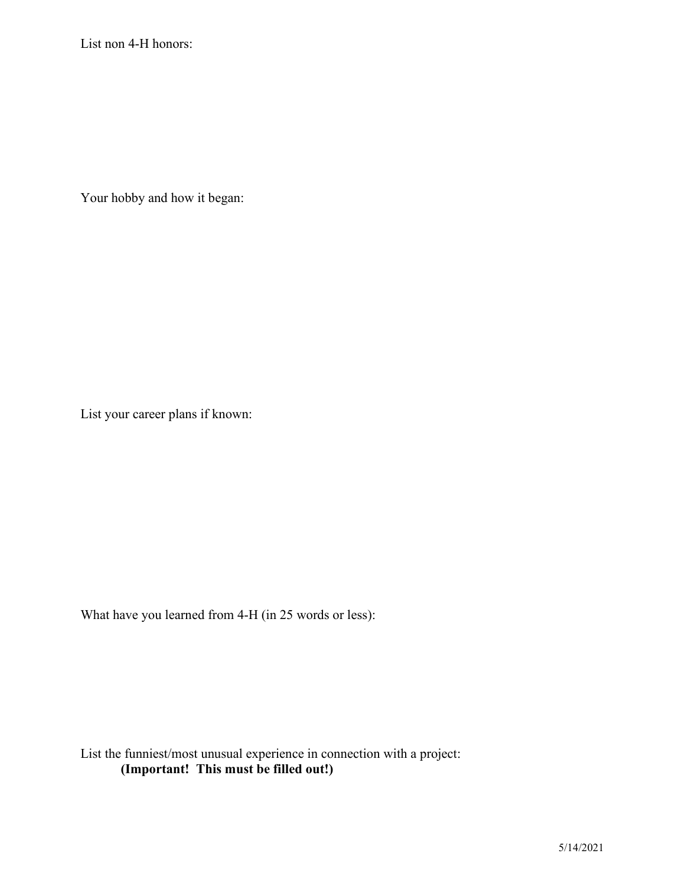List non 4-H honors:

Your hobby and how it began:

List your career plans if known:

What have you learned from 4-H (in 25 words or less):

List the funniest/most unusual experience in connection with a project: **(Important! This must be filled out!)**